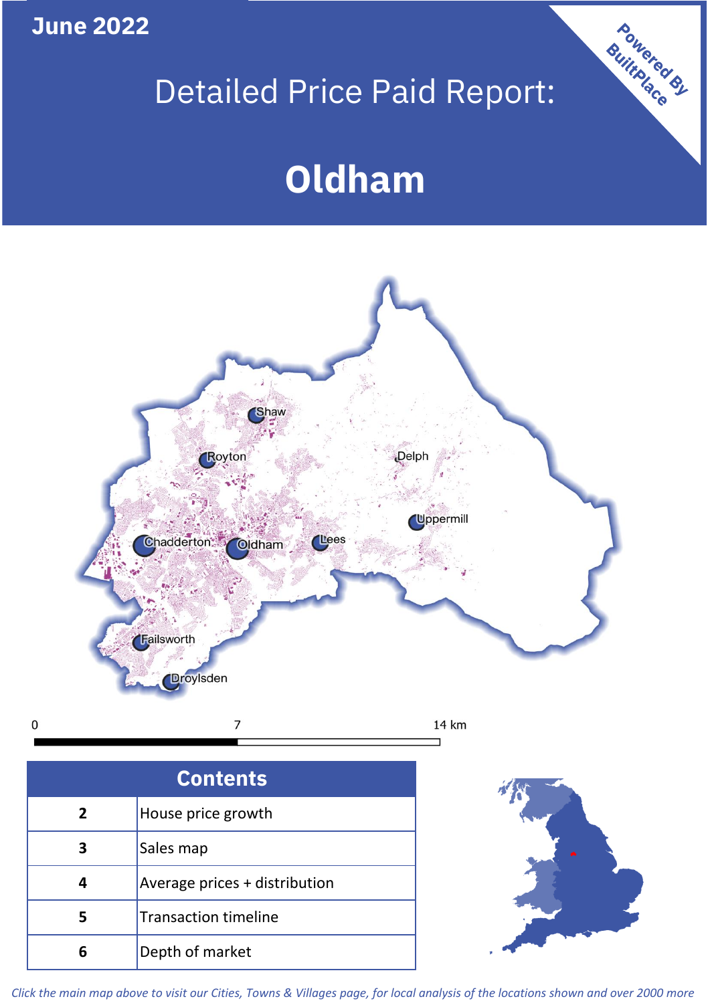**June 2022**

**5**

Transaction timeline

**6** Depth of market

## Detailed Price Paid Report:

Powered By

# **Oldham**



*Click the main map above to visit our Cities, Towns & Villages page, for local analysis of the locations shown and over 2000 more*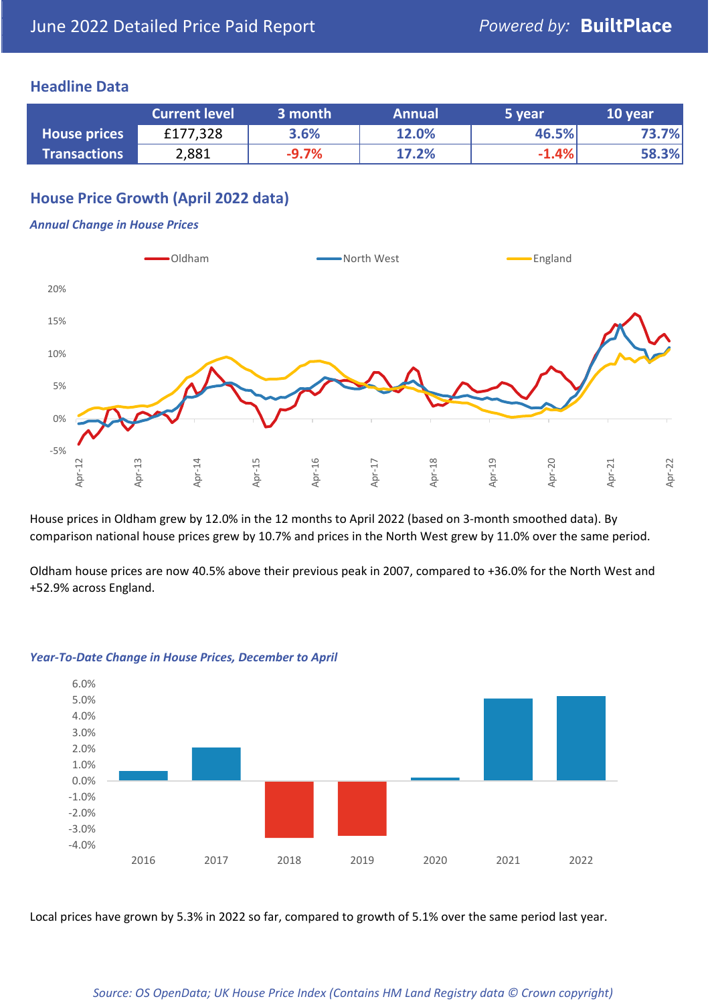#### **Headline Data**

|                     | <b>Current level</b> | 3 month | <b>Annual</b> | 5 year  | 10 year |
|---------------------|----------------------|---------|---------------|---------|---------|
| <b>House prices</b> | £177,328             | 3.6%    | 12.0%         | 46.5%   | 73.7%   |
| <b>Transactions</b> | 2,881                | $-9.7%$ | 17.2%         | $-1.4%$ | 58.3%   |

## **House Price Growth (April 2022 data)**

#### *Annual Change in House Prices*



House prices in Oldham grew by 12.0% in the 12 months to April 2022 (based on 3-month smoothed data). By comparison national house prices grew by 10.7% and prices in the North West grew by 11.0% over the same period.

Oldham house prices are now 40.5% above their previous peak in 2007, compared to +36.0% for the North West and +52.9% across England.



#### *Year-To-Date Change in House Prices, December to April*

Local prices have grown by 5.3% in 2022 so far, compared to growth of 5.1% over the same period last year.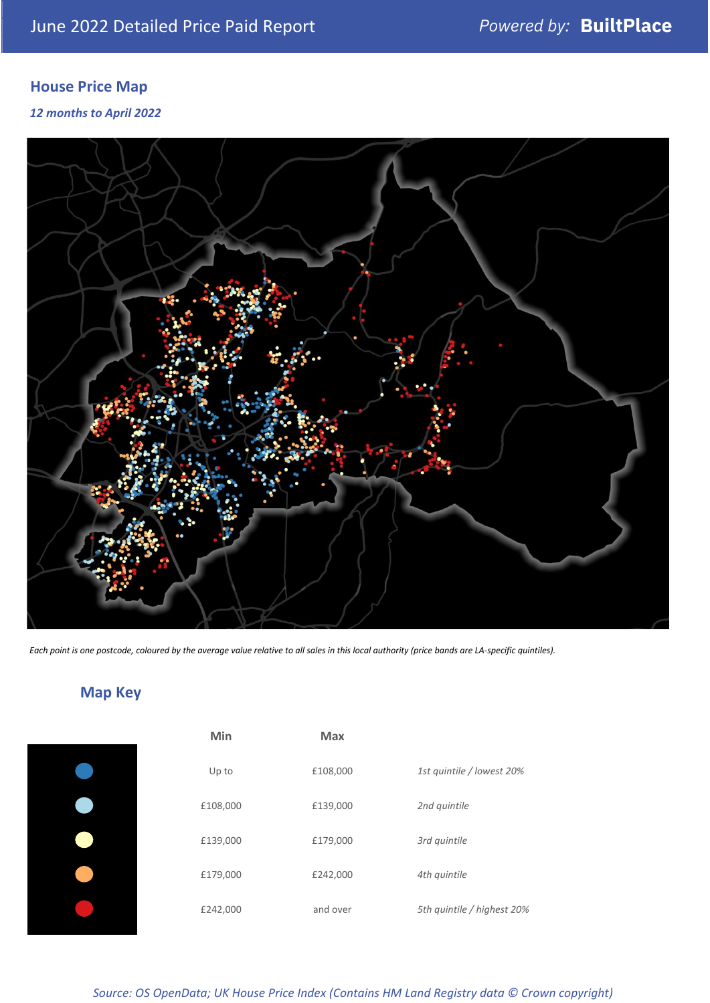## **House Price Map**

#### *12 months to April 2022*



*Each point is one postcode, coloured by the average value relative to all sales in this local authority (price bands are LA-specific quintiles).*

## **Map Key**

| Min      | Max      |                            |
|----------|----------|----------------------------|
| Up to    | £108,000 | 1st quintile / lowest 20%  |
| £108,000 | £139,000 | 2nd quintile               |
| £139,000 | £179,000 | 3rd quintile               |
| £179,000 | £242,000 | 4th quintile               |
| £242,000 | and over | 5th quintile / highest 20% |
|          |          |                            |

*Source: OS OpenData; UK House Price Index (Contains HM Land Registry data © Crown copyright)*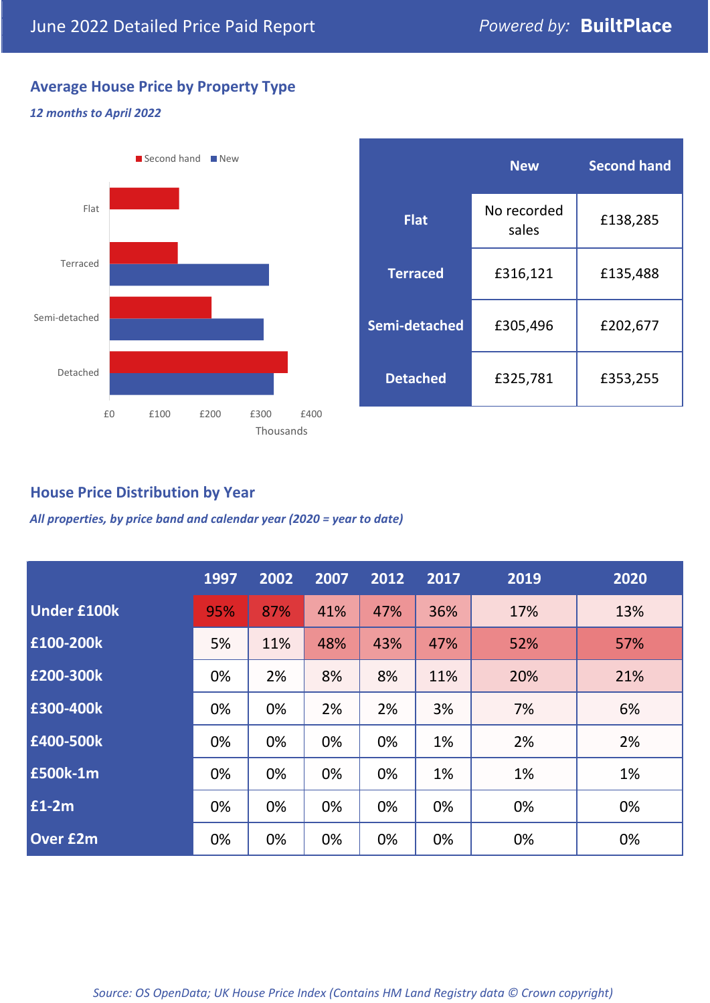## **Average House Price by Property Type**

## *12 months to April 2022*



|                 | <b>New</b>           | <b>Second hand</b> |  |
|-----------------|----------------------|--------------------|--|
| <b>Flat</b>     | No recorded<br>sales | £138,285           |  |
| <b>Terraced</b> | £316,121             | £135,488           |  |
| Semi-detached   | £305,496             | £202,677           |  |
| <b>Detached</b> | £325,781             | £353,255           |  |

### **House Price Distribution by Year**

*All properties, by price band and calendar year (2020 = year to date)*

|                    | 1997 | 2002 | 2007 | 2012 | 2017 | 2019 | 2020 |
|--------------------|------|------|------|------|------|------|------|
| <b>Under £100k</b> | 95%  | 87%  | 41%  | 47%  | 36%  | 17%  | 13%  |
| £100-200k          | 5%   | 11%  | 48%  | 43%  | 47%  | 52%  | 57%  |
| £200-300k          | 0%   | 2%   | 8%   | 8%   | 11%  | 20%  | 21%  |
| £300-400k          | 0%   | 0%   | 2%   | 2%   | 3%   | 7%   | 6%   |
| £400-500k          | 0%   | 0%   | 0%   | 0%   | 1%   | 2%   | 2%   |
| <b>£500k-1m</b>    | 0%   | 0%   | 0%   | 0%   | 1%   | 1%   | 1%   |
| £1-2m              | 0%   | 0%   | 0%   | 0%   | 0%   | 0%   | 0%   |
| <b>Over £2m</b>    | 0%   | 0%   | 0%   | 0%   | 0%   | 0%   | 0%   |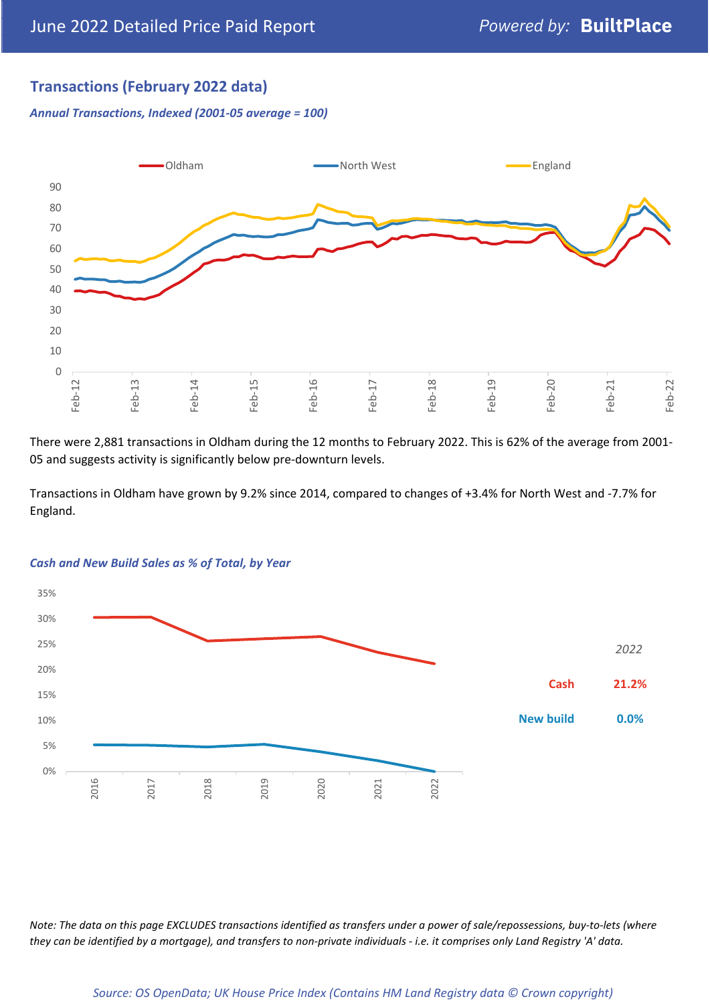## **Transactions (February 2022 data)**

*Annual Transactions, Indexed (2001-05 average = 100)*



There were 2,881 transactions in Oldham during the 12 months to February 2022. This is 62% of the average from 2001- 05 and suggests activity is significantly below pre-downturn levels.

Transactions in Oldham have grown by 9.2% since 2014, compared to changes of +3.4% for North West and -7.7% for England.



#### *Cash and New Build Sales as % of Total, by Year*

*Note: The data on this page EXCLUDES transactions identified as transfers under a power of sale/repossessions, buy-to-lets (where they can be identified by a mortgage), and transfers to non-private individuals - i.e. it comprises only Land Registry 'A' data.*